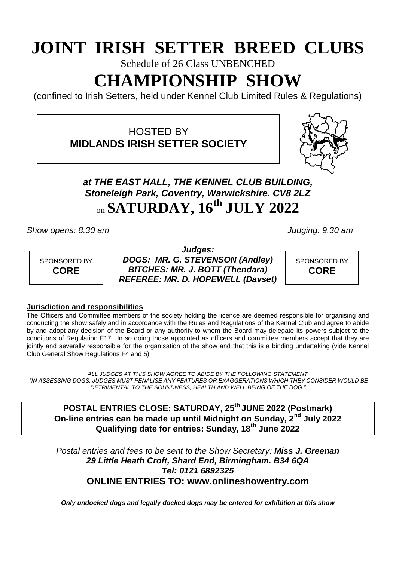# **JOINT IRISH SETTER BREED CLUBS**

Schedule of 26 Class UNBENCHED

# **CHAMPIONSHIP SHOW**

(confined to Irish Setters, held under Kennel Club Limited Rules & Regulations)

HOSTED BY **MIDLANDS IRISH SETTER SOCIETY**



## *at THE EAST HALL, THE KENNEL CLUB BUILDING, Stoneleigh Park, Coventry, Warwickshire. CV8 2LZ* on **SATURDAY, 16 th JULY 2022**

*Show opens: 8.30 am Judging: 9.30 am*



*Judges: DOGS: MR. G. STEVENSON (Andley) BITCHES: MR. J. BOTT (Thendara) REFEREE: MR. D. HOPEWELL (Davset)*

SPONSORED BY **CORE**

#### **Jurisdiction and responsibilities**

The Officers and Committee members of the society holding the licence are deemed responsible for organising and conducting the show safely and in accordance with the Rules and Regulations of the Kennel Club and agree to abide by and adopt any decision of the Board or any authority to whom the Board may delegate its powers subject to the conditions of Regulation F17. In so doing those appointed as officers and committee members accept that they are jointly and severally responsible for the organisation of the show and that this is a binding undertaking (vide Kennel Club General Show Regulations F4 and 5).

*ALL JUDGES AT THIS SHOW AGREE TO ABIDE BY THE FOLLOWING STATEMENT "IN ASSESSING DOGS, JUDGES MUST PENALISE ANY FEATURES OR EXAGGERATIONS WHICH THEY CONSIDER WOULD BE DETRIMENTAL TO THE SOUNDNESS, HEALTH AND WELL BEING OF THE DOG."*

**POSTAL ENTRIES CLOSE: SATURDAY, 25th JUNE 2022 (Postmark) On-line entries can be made up until Midnight on Sunday, 2nd July 2022 Qualifying date for entries: Sunday, 18th June 2022**

*Postal entries and fees to be sent to the Show Secretary: Miss J. Greenan 29 Little Heath Croft, Shard End, Birmingham. B34 6QA Tel: 0121 6892325* **ONLINE ENTRIES TO: www.onlineshowentry.com**

*Only undocked dogs and legally docked dogs may be entered for exhibition at this show*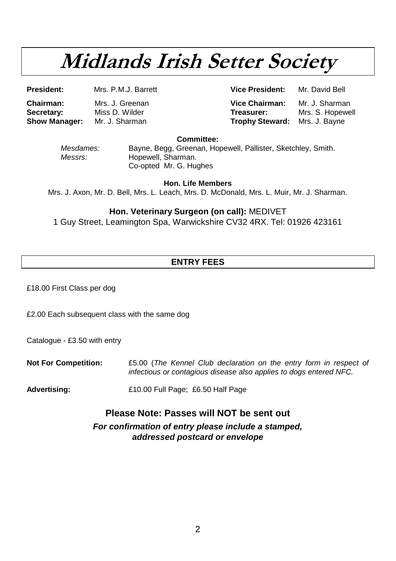# **Midlands Irish Setter Society**

**President:** Mrs. P.M.J. Barrett **Vice President:** Mr. David Bell

**Chairman:** Mrs. J. Greenan **Vice Chairman:** Mr. J. Sharman **Secretary:** Miss D. Wilder **Treasurer:** Mrs. S. Hopewell **Show Manager:** Mrs. J. Bavne **Trophy Steward:** 

**Committee:**

*Mesdames:* Bayne, Begg, Greenan, Hopewell, Pallister, Sketchley, Smith. *Messrs:* Hopewell, Sharman. Co-opted Mr. G. Hughes

**Hon. Life Members** Mrs. J. Axon, Mr. D. Bell, Mrs. L. Leach, Mrs. D. McDonald, Mrs. L. Muir, Mr. J. Sharman.

#### **Hon. Veterinary Surgeon (on call):** MEDIVET

1 Guy Street, Leamington Spa, Warwickshire CV32 4RX. Tel: 01926 423161

### **ENTRY FEES**

£18.00 First Class per dog

£2.00 Each subsequent class with the same dog

Catalogue - £3.50 with entry

**Not For Competition:** £5.00 (*The Kennel Club declaration on the entry form in respect of infectious or contagious disease also applies to dogs entered NFC.*

**Advertising:** £10.00 Full Page; £6.50 Half Page

### **Please Note: Passes will NOT be sent out**

*For confirmation of entry please include a stamped, addressed postcard or envelope*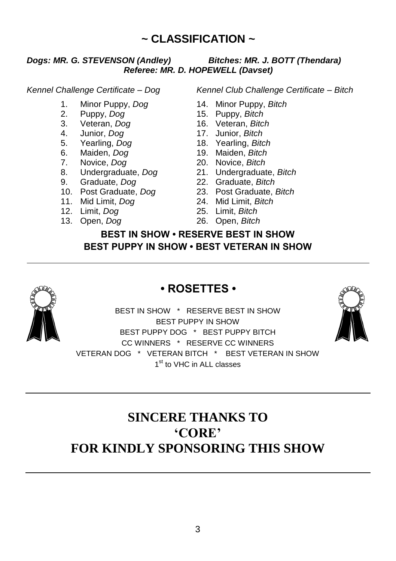## **~ CLASSIFICATION ~**

#### *Dogs: MR. G. STEVENSON (Andley) Bitches: MR. J. BOTT (Thendara) Referee: MR. D. HOPEWELL (Davset)*

- 1. Minor Puppy, *Dog* 14. Minor Puppy, *Bitch*
- 2. Puppy, *Dog* 15. Puppy, *Bitch*
- 
- 4. Junior, *Dog* 17. Junior, *Bitch*
- 
- 6. Maiden, *Dog*<br>7. Novice, *Dog*
- 
- 
- 
- 9. Graduate, *Dog* 22. Graduate, *Bitch* 10. Post Graduate, *Dog* 23. Post Graduate, *Bitch*
- 11. Mid Limit, *Dog* 24. Mid Limit, *Bitch*
- 
- 13. Open, *Dog* 26. Open, *Bitch*

*Kennel Challenge Certificate – Dog Kennel Club Challenge Certificate – Bitch*

- 
- 
- 3. Veteran, *Dog* 16. Veteran, *Bitch*
- 
- 5. Yearling, *Dog* 18. Yearling, *Bitch*
	-
	- 7. Novice, *Dog* 20. Novice, *Bitch*
- 8. Undergraduate, *Dog* 21. Undergraduate, *Bitch*
	-
	-
	-
- 12. Limit, *Dog* 25. Limit, *Bitch*
	-

### **BEST IN SHOW • RESERVE BEST IN SHOW BEST PUPPY IN SHOW • BEST VETERAN IN SHOW**



### **• ROSETTES •**

BEST IN SHOW \* RESERVE BEST IN SHOW BEST PUPPY IN SHOW BEST PUPPY DOG \* BEST PUPPY BITCH CC WINNERS \* RESERVE CC WINNERS VETERAN DOG \* VETERAN BITCH \* BEST VETERAN IN SHOW 1<sup>st</sup> to VHC in ALL classes

# **SINCERE THANKS TO 'CORE' FOR KINDLY SPONSORING THIS SHOW**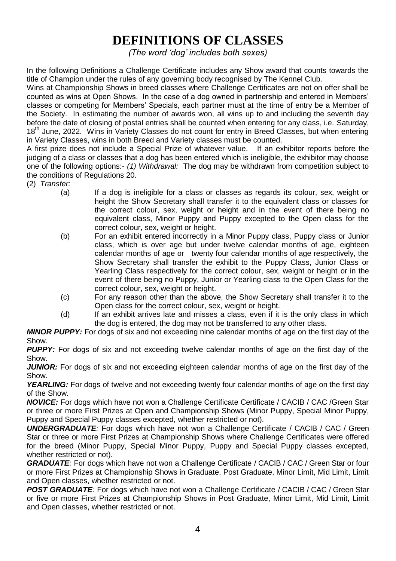# **DEFINITIONS OF CLASSES**

*(The word "dog" includes both sexes)*

In the following Definitions a Challenge Certificate includes any Show award that counts towards the title of Champion under the rules of any governing body recognised by The Kennel Club.

Wins at Championship Shows in breed classes where Challenge Certificates are not on offer shall be counted as wins at Open Shows. In the case of a dog owned in partnership and entered in Members' classes or competing for Members' Specials, each partner must at the time of entry be a Member of the Society. In estimating the number of awards won, all wins up to and including the seventh day before the date of closing of postal entries shall be counted when entering for any class, i.e. Saturday, 18<sup>th</sup> June, 2022. Wins in Variety Classes do not count for entry in Breed Classes, but when entering in Variety Classes, wins in both Breed and Variety classes must be counted.

A first prize does not include a Special Prize of whatever value. If an exhibitor reports before the judging of a class or classes that a dog has been entered which is ineligible, the exhibitor may choose one of the following options:- *(1) Withdrawal:* The dog may be withdrawn from competition subject to the conditions of Regulations 20.

- (2) *Transfer:*
	- (a) If a dog is ineligible for a class or classes as regards its colour, sex, weight or height the Show Secretary shall transfer it to the equivalent class or classes for the correct colour, sex, weight or height and in the event of there being no equivalent class, Minor Puppy and Puppy excepted to the Open class for the correct colour, sex, weight or height.
	- (b) For an exhibit entered incorrectly in a Minor Puppy class, Puppy class or Junior class, which is over age but under twelve calendar months of age, eighteen calendar months of age or twenty four calendar months of age respectively, the Show Secretary shall transfer the exhibit to the Puppy Class, Junior Class or Yearling Class respectively for the correct colour, sex, weight or height or in the event of there being no Puppy, Junior or Yearling class to the Open Class for the correct colour, sex, weight or height.
	- (c) For any reason other than the above, the Show Secretary shall transfer it to the Open class for the correct colour, sex, weight or height.
	- (d) If an exhibit arrives late and misses a class, even if it is the only class in which the dog is entered, the dog may not be transferred to any other class.

*MINOR PUPPY:* For dogs of six and not exceeding nine calendar months of age on the first day of the Show.

**PUPPY:** For dogs of six and not exceeding twelve calendar months of age on the first day of the Show.

*JUNIOR:* For dogs of six and not exceeding eighteen calendar months of age on the first day of the Show.

YEARLING: For dogs of twelve and not exceeding twenty four calendar months of age on the first day of the Show.

**NOVICE:** For dogs which have not won a Challenge Certificate Certificate / CACIB / CAC / Green Star or three or more First Prizes at Open and Championship Shows (Minor Puppy, Special Minor Puppy, Puppy and Special Puppy classes excepted, whether restricted or not).

*UNDERGRADUATE:* For dogs which have not won a Challenge Certificate / CACIB / CAC / Green Star or three or more First Prizes at Championship Shows where Challenge Certificates were offered for the breed (Minor Puppy, Special Minor Puppy, Puppy and Special Puppy classes excepted, whether restricted or not).

**GRADUATE**: For dogs which have not won a Challenge Certificate / CACIB / CAC / Green Star or four or more First Prizes at Championship Shows in Graduate, Post Graduate, Minor Limit, Mid Limit, Limit and Open classes, whether restricted or not.

**POST GRADUATE**: For dogs which have not won a Challenge Certificate / CACIB / CAC / Green Star or five or more First Prizes at Championship Shows in Post Graduate, Minor Limit, Mid Limit, Limit and Open classes, whether restricted or not.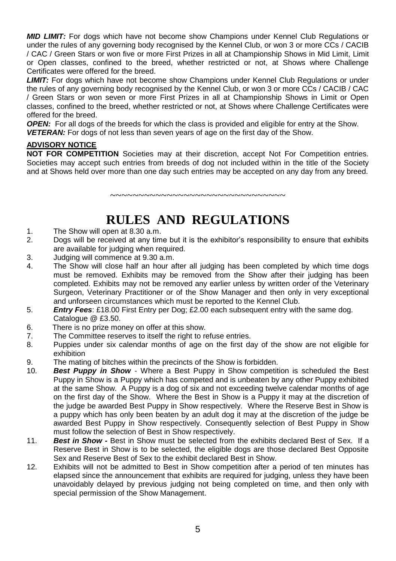*MID LIMIT:* For dogs which have not become show Champions under Kennel Club Regulations or under the rules of any governing body recognised by the Kennel Club, or won 3 or more CCs / CACIB / CAC / Green Stars or won five or more First Prizes in all at Championship Shows in Mid Limit, Limit or Open classes, confined to the breed, whether restricted or not, at Shows where Challenge Certificates were offered for the breed.

**LIMIT:** For dogs which have not become show Champions under Kennel Club Regulations or under the rules of any governing body recognised by the Kennel Club, or won 3 or more CCs / CACIB / CAC / Green Stars or won seven or more First Prizes in all at Championship Shows in Limit or Open classes, confined to the breed, whether restricted or not, at Shows where Challenge Certificates were offered for the breed.

*OPEN:* For all dogs of the breeds for which the class is provided and eligible for entry at the Show. **VETERAN:** For dogs of not less than seven years of age on the first day of the Show.

#### **ADVISORY NOTICE**

**NOT FOR COMPETITION** Societies may at their discretion, accept Not For Competition entries. Societies may accept such entries from breeds of dog not included within in the title of the Society and at Shows held over more than one day such entries may be accepted on any day from any breed.

**RULES AND REGULATIONS**

~~~~~~~~~~~~~~~~~~~~~~~~~~~~~~~~~

- 1. The Show will open at 8.30 a.m.
- 2. Dogs will be received at any time but it is the exhibitor's responsibility to ensure that exhibits are available for judging when required.
- 3. Judging will commence at 9.30 a.m.
- 4. The Show will close half an hour after all judging has been completed by which time dogs must be removed. Exhibits may be removed from the Show after their judging has been completed. Exhibits may not be removed any earlier unless by written order of the Veterinary Surgeon, Veterinary Practitioner or of the Show Manager and then only in very exceptional and unforseen circumstances which must be reported to the Kennel Club.
- 5. *Entry Fees*: £18.00 First Entry per Dog; £2.00 each subsequent entry with the same dog. Catalogue @ £3.50.
- 6. There is no prize money on offer at this show.<br>7. The Committee reserves to itself the right to re
- The Committee reserves to itself the right to refuse entries.
- 8. Puppies under six calendar months of age on the first day of the show are not eligible for exhibition
- 9. The mating of bitches within the precincts of the Show is forbidden.
- 10. *Best Puppy in Show* Where a Best Puppy in Show competition is scheduled the Best Puppy in Show is a Puppy which has competed and is unbeaten by any other Puppy exhibited at the same Show. A Puppy is a dog of six and not exceeding twelve calendar months of age on the first day of the Show. Where the Best in Show is a Puppy it may at the discretion of the judge be awarded Best Puppy in Show respectively. Where the Reserve Best in Show is a puppy which has only been beaten by an adult dog it may at the discretion of the judge be awarded Best Puppy in Show respectively. Consequently selection of Best Puppy in Show must follow the selection of Best in Show respectively.
- 11. *Best in Show -* Best in Show must be selected from the exhibits declared Best of Sex. If a Reserve Best in Show is to be selected, the eligible dogs are those declared Best Opposite Sex and Reserve Best of Sex to the exhibit declared Best in Show.
- 12. Exhibits will not be admitted to Best in Show competition after a period of ten minutes has elapsed since the announcement that exhibits are required for judging, unless they have been unavoidably delayed by previous judging not being completed on time, and then only with special permission of the Show Management.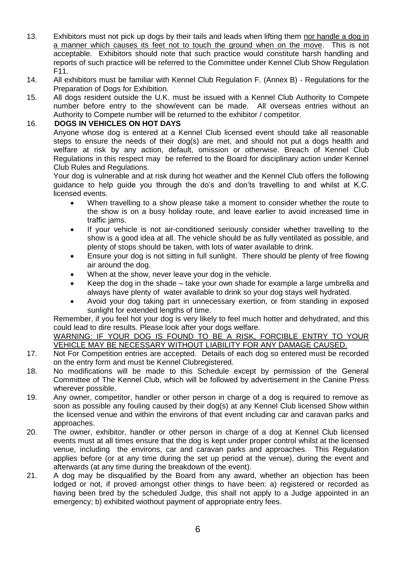- 13. Exhibitors must not pick up dogs by their tails and leads when lifting them nor handle a dog in a manner which causes its feet not to touch the ground when on the move. This is not acceptable. Exhibitors should note that such practice would constitute harsh handling and reports of such practice will be referred to the Committee under Kennel Club Show Regulation F11.
- 14. All exhibitors must be familiar with Kennel Club Regulation F. (Annex B) Regulations for the Preparation of Dogs for Exhibition.
- 15. All dogs resident outside the U.K. must be issued with a Kennel Club Authority to Compete number before entry to the show/event can be made. All overseas entries without an Authority to Compete number will be returned to the exhibitor / competitor.

#### 16. **DOGS IN VEHICLES ON HOT DAYS**

Anyone whose dog is entered at a Kennel Club licensed event should take all reasonable steps to ensure the needs of their dog(s) are met, and should not put a dogs health and welfare at risk by any action, default, omission or otherwise. Breach of Kennel Club Regulations in this respect may be referred to the Board for disciplinary action under Kennel Club Rules and Regulations.

Your dog is vulnerable and at risk during hot weather and the Kennel Club offers the following guidance to help guide you through the do's and don'ts travelling to and whilst at K.C. licensed events.

- When travelling to a show please take a moment to consider whether the route to the show is on a busy holiday route, and leave earlier to avoid increased time in traffic jams.
- If your vehicle is not air-conditioned seriously consider whether travelling to the show is a good idea at all. The vehicle should be as fully ventilated as possible, and plenty of stops should be taken, with lots of water available to drink.
- Ensure your dog is not sitting in full sunlight. There should be plenty of free flowing air around the dog.
- When at the show, never leave your dog in the vehicle.
- Keep the dog in the shade take your own shade for example a large umbrella and always have plenty of water available to drink so your dog stays well hydrated.
- Avoid your dog taking part in unnecessary exertion, or from standing in exposed sunlight for extended lengths of time.

Remember, if you feel hot your dog is very likely to feel much hotter and dehydrated, and this could lead to dire results. Please look after your dogs welfare.

WARNING: IF YOUR DOG IS FOUND TO BE A RISK, FORCIBLE ENTRY TO YOUR VEHICLE MAY BE NECESSARY WITHOUT LIABILITY FOR ANY DAMAGE CAUSED.

- 17. Not For Competition entries are accepted. Details of each dog so entered must be recorded on the entry form and must be Kennel Clubregistered.
- 18. No modifications will be made to this Schedule except by permission of the General Committee of The Kennel Club, which will be followed by advertisement in the Canine Press wherever possible.
- 19. Any owner, competitor, handler or other person in charge of a dog is required to remove as soon as possible any fouling caused by their dog(s) at any Kennel Club licensed Show within the licensed venue and within the environs of that event including car and caravan parks and approaches.
- 20. The owner, exhibitor, handler or other person in charge of a dog at Kennel Club licensed events must at all times ensure that the dog is kept under proper control whilst at the licensed venue, including the environs, car and caravan parks and approaches. This Regulation applies before (or at any time during the set up period at the venue), during the event and afterwards (at any time during the breakdown of the event).
- 21. A dog may be disqualified by the Board from any award, whether an objection has been lodged or not, if proved amongst other things to have been: a) registered or recorded as having been bred by the scheduled Judge, this shall not apply to a Judge appointed in an emergency; b) exhibited wiothout payment of appropriate entry fees.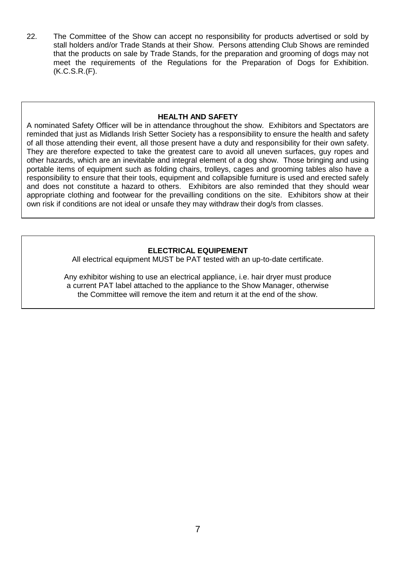22. The Committee of the Show can accept no responsibility for products advertised or sold by stall holders and/or Trade Stands at their Show. Persons attending Club Shows are reminded that the products on sale by Trade Stands, for the preparation and grooming of dogs may not meet the requirements of the Regulations for the Preparation of Dogs for Exhibition. (K.C.S.R.(F).

#### **HEALTH AND SAFETY**

A nominated Safety Officer will be in attendance throughout the show. Exhibitors and Spectators are reminded that just as Midlands Irish Setter Society has a responsibility to ensure the health and safety of all those attending their event, all those present have a duty and responsibility for their own safety. They are therefore expected to take the greatest care to avoid all uneven surfaces, guy ropes and other hazards, which are an inevitable and integral element of a dog show. Those bringing and using portable items of equipment such as folding chairs, trolleys, cages and grooming tables also have a responsibility to ensure that their tools, equipment and collapsible furniture is used and erected safely and does not constitute a hazard to others. Exhibitors are also reminded that they should wear appropriate clothing and footwear for the prevailling conditions on the site. Exhibitors show at their own risk if conditions are not ideal or unsafe they may withdraw their dog/s from classes.

#### **ELECTRICAL EQUIPEMENT**

All electrical equipment MUST be PAT tested with an up-to-date certificate.

Any exhibitor wishing to use an electrical appliance, i.e. hair dryer must produce a current PAT label attached to the appliance to the Show Manager, otherwise the Committee will remove the item and return it at the end of the show.